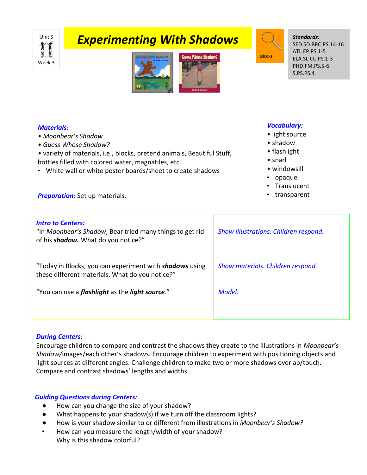# Week 3

## **Experimenting With Shadows** June 5





*Standards:* SED.SD.BRC.PS.14-16 ATL.EP.PS.1-5 ELA.SL.CC.PS.1-3 PHD.FM.PS.5-6 S.PS.PS.4

#### *Materials:*

- *Moonbear's Shadow*
- *Guess Whose Shadow?*
- *•* variety of materials, i.e., blocks, pretend animals, Beautiful Stuff, bottles filled with colored water, magnatiles, etc.
- White wall or white poster boards/sheet to create shadows

#### *Vocabulary:*

- light source
- shadow
- flashlight
- snarl
- windowsill
- opaque
- **Translucent**
- **Preparation:** Set up materials. **•** transparent

| <b>Intro to Centers:</b><br>"In Moonbear's Shadow, Bear tried many things to get rid<br>of his <b>shadow</b> . What do you notice?" | Show illustrations. Children respond. |
|-------------------------------------------------------------------------------------------------------------------------------------|---------------------------------------|
| "Today in Blocks, you can experiment with <b>shadows</b> using<br>these different materials. What do you notice?"                   | Show materials. Children respond.     |
| "You can use a <i>flashlight</i> as the <i>light source</i> ."                                                                      | Model.                                |
|                                                                                                                                     |                                       |

#### *During Centers:*

Encourage children to compare and contrast the shadows they create to the illustrations in *Moonbear's Shadow/*images/each other's shadows. Encourage children to experiment with positioning objects and light sources at different angles. Challenge children to make two or more shadows overlap/touch. Compare and contrast shadows' lengths and widths.

### *Guiding Questions during Centers:*

- How can you change the size of your shadow?
- What happens to your shadow(s) if we turn off the classroom lights?
- How is your shadow similar to or different from illustrations in *Moonbear's Shadow?*
- How can you measure the length/width of your shadow? Why is this shadow colorful?